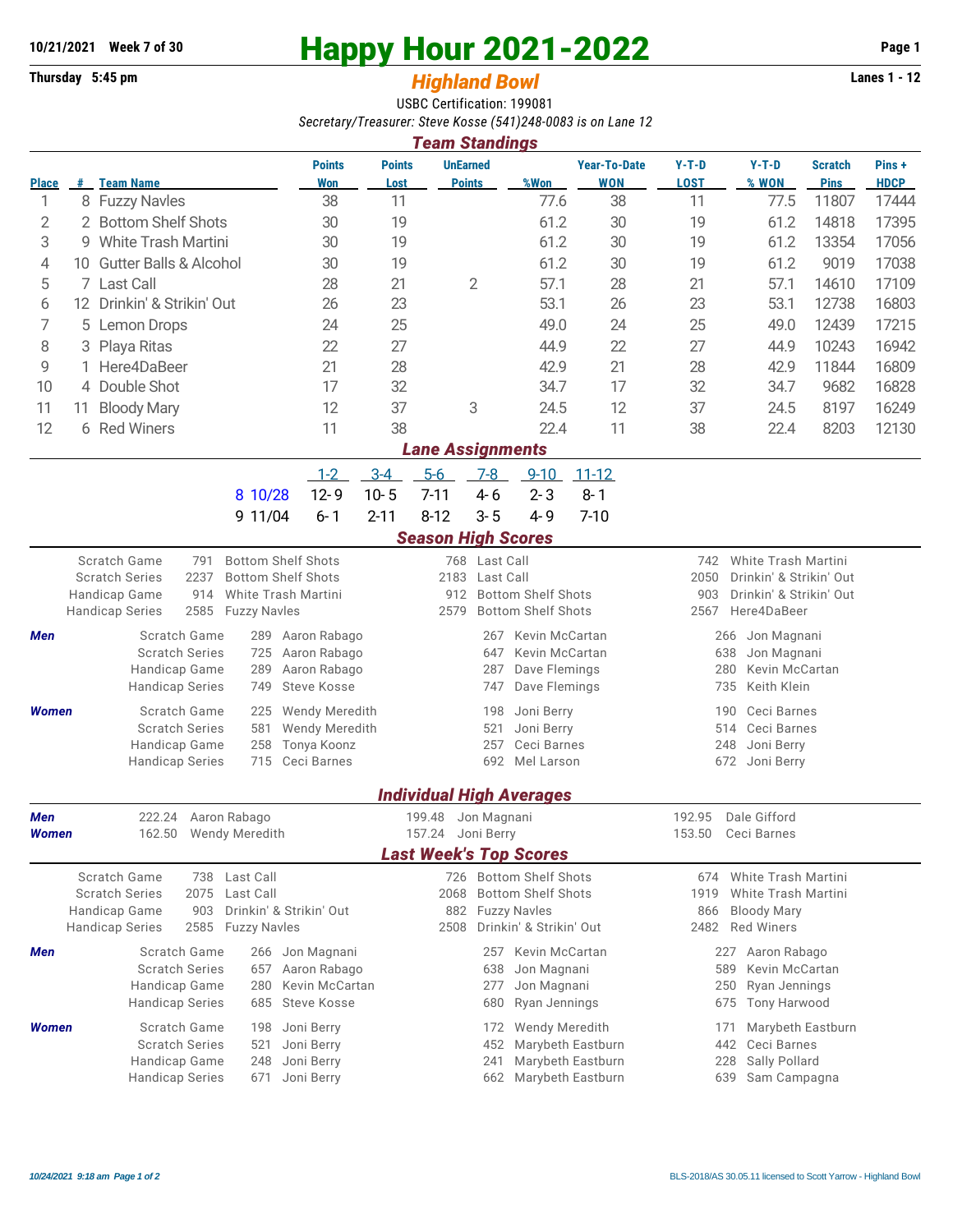## **10/21/2021** Week 7 of 30<br>
Thursday 5:45 pm<br> **Happy Hour 2021-2022** Page 1<br> **Highland Rowl**

## **Thursday 5:45 pm** *Highland Bowl*

USBC Certification: 199081 *Secretary/Treasurer: Steve Kosse (541)248-0083 is on Lane 12*

| <b>Team Standings</b>                                                                                                                                |                                         |                                             |                                |                                                                    |                            |                                            |                      |                                 |                                               |                                |                                                |                               |                      |  |  |  |
|------------------------------------------------------------------------------------------------------------------------------------------------------|-----------------------------------------|---------------------------------------------|--------------------------------|--------------------------------------------------------------------|----------------------------|--------------------------------------------|----------------------|---------------------------------|-----------------------------------------------|--------------------------------|------------------------------------------------|-------------------------------|----------------------|--|--|--|
| Place                                                                                                                                                |                                         | # Team Name                                 |                                | <b>Points</b><br>Won                                               | <b>Points</b><br>Lost      | <b>UnEarned</b>                            | <b>Points</b>        | %Won                            | <b>Year-To-Date</b><br><b>WON</b>             | $Y-T-D$<br><b>LOST</b>         | $Y-T-D$<br>% WON                               | <b>Scratch</b><br><b>Pins</b> | Pins+<br><b>HDCP</b> |  |  |  |
| 1                                                                                                                                                    |                                         | 8 Fuzzy Navles                              |                                | 38                                                                 | 11                         |                                            |                      | 77.6                            | 38                                            | 11                             | 77.5                                           | 11807                         | 17444                |  |  |  |
| 2                                                                                                                                                    |                                         | 2 Bottom Shelf Shots                        |                                | 30                                                                 | 19                         |                                            |                      | 61.2                            | 30                                            | 19                             | 61.2                                           | 14818                         | 17395                |  |  |  |
| 3                                                                                                                                                    | 9                                       | <b>White Trash Martini</b>                  |                                | 30                                                                 | 19                         |                                            |                      | 61.2                            | 30                                            | 19                             | 61.2                                           | 13354                         | 17056                |  |  |  |
| 4                                                                                                                                                    | <b>Gutter Balls &amp; Alcohol</b><br>10 |                                             | 30                             | 19                                                                 |                            |                                            | 61.2                 | 30                              | 19                                            | 61.2                           | 9019                                           | 17038                         |                      |  |  |  |
| 5                                                                                                                                                    | 7 Last Call                             |                                             |                                | 28                                                                 | 21                         |                                            | $\overline{2}$       | 57.1                            | 28                                            | 21                             | 57.1                                           | 14610                         | 17109                |  |  |  |
| 6                                                                                                                                                    | 12 Drinkin' & Strikin' Out              |                                             |                                |                                                                    | 23                         |                                            |                      | 53.1                            | 26                                            | 23                             | 53.1                                           | 12738                         | 16803                |  |  |  |
| 7                                                                                                                                                    | 5 Lemon Drops                           |                                             |                                | 24                                                                 | 25                         |                                            |                      | 49.0                            | 24                                            | 25                             | 49.0                                           | 12439                         | 17215                |  |  |  |
| 8                                                                                                                                                    | 3                                       | Playa Ritas                                 |                                | 22                                                                 | 27                         |                                            |                      | 44.9                            | 22                                            | 27                             | 44.9                                           | 10243                         | 16942                |  |  |  |
| 9                                                                                                                                                    |                                         | Here4DaBeer                                 |                                | 21                                                                 | 28                         |                                            |                      | 42.9                            | 21                                            | 28                             | 42.9                                           | 11844                         | 16809                |  |  |  |
| 10                                                                                                                                                   |                                         | 4 Double Shot                               |                                | 17                                                                 | 32                         |                                            |                      | 34.7                            | 17                                            | 32                             | 34.7                                           | 9682                          | 16828                |  |  |  |
| 11                                                                                                                                                   | 11                                      | <b>Bloody Mary</b>                          |                                | 12                                                                 | 37                         |                                            | 3                    | 24.5                            | 12                                            | 37                             | 24.5                                           | 8197                          | 16249                |  |  |  |
| 12                                                                                                                                                   |                                         | 6 Red Winers                                |                                | 11                                                                 | 38                         |                                            |                      | 22.4                            | 11                                            | 38                             | 22.4                                           | 8203                          | 12130                |  |  |  |
| <b>Lane Assignments</b>                                                                                                                              |                                         |                                             |                                |                                                                    |                            |                                            |                      |                                 |                                               |                                |                                                |                               |                      |  |  |  |
|                                                                                                                                                      |                                         |                                             |                                | $1 - 2$                                                            | $3-4$                      | $5-6$                                      | $7-8$                | $9 - 10$                        | $11 - 12$                                     |                                |                                                |                               |                      |  |  |  |
|                                                                                                                                                      |                                         |                                             | 8 10/28                        | $12 - 9$                                                           | $10 - 5$                   | $7 - 11$                                   | $4 - 6$              | $2 - 3$                         | $8 - 1$                                       |                                |                                                |                               |                      |  |  |  |
|                                                                                                                                                      |                                         |                                             | 9 11/04                        | $6 - 1$                                                            | $2 - 11$                   | $8 - 12$                                   | $3 - 5$              | $4 - 9$                         | $7 - 10$                                      |                                |                                                |                               |                      |  |  |  |
|                                                                                                                                                      |                                         |                                             |                                |                                                                    |                            | <b>Season High Scores</b>                  |                      |                                 |                                               |                                |                                                |                               |                      |  |  |  |
| <b>Bottom Shelf Shots</b><br>Scratch Game<br>791<br>768 Last Call<br>2237<br><b>Bottom Shelf Shots</b><br><b>Scratch Series</b><br>2183<br>Last Call |                                         |                                             |                                |                                                                    |                            |                                            |                      |                                 |                                               | 742<br>2050                    | White Trash Martini<br>Drinkin' & Strikin' Out |                               |                      |  |  |  |
|                                                                                                                                                      |                                         | Handicap Game<br>914                        | White Trash Martini            |                                                                    |                            | 912                                        |                      | <b>Bottom Shelf Shots</b>       |                                               | Drinkin' & Strikin' Out<br>903 |                                                |                               |                      |  |  |  |
|                                                                                                                                                      |                                         | 2585<br><b>Handicap Series</b>              | <b>Fuzzy Navles</b>            |                                                                    |                            | 2579                                       |                      | <b>Bottom Shelf Shots</b>       |                                               | 2567<br>Here4DaBeer            |                                                |                               |                      |  |  |  |
| Men                                                                                                                                                  |                                         | Scratch Game                                | 289                            | Aaron Rabago                                                       |                            |                                            | 267                  | Kevin McCartan                  |                                               | Jon Magnani<br>266             |                                                |                               |                      |  |  |  |
|                                                                                                                                                      |                                         | <b>Scratch Series</b>                       | Aaron Rabago                   |                                                                    |                            | 647                                        | Kevin McCartan       |                                 | 638<br>Jon Magnani                            |                                |                                                |                               |                      |  |  |  |
|                                                                                                                                                      |                                         | Handicap Game                               | Aaron Rabago                   |                                                                    |                            | 287                                        | Dave Flemings        |                                 | 280<br>Kevin McCartan                         |                                |                                                |                               |                      |  |  |  |
|                                                                                                                                                      |                                         | <b>Handicap Series</b>                      | 749                            | Steve Kosse                                                        |                            |                                            | Dave Flemings<br>747 |                                 |                                               | Keith Klein<br>735             |                                                |                               |                      |  |  |  |
| Women                                                                                                                                                |                                         | Scratch Game                                | 225<br>581                     | Wendy Meredith                                                     | Joni Berry<br>198          |                                            |                      |                                 |                                               |                                | 190<br>Ceci Barnes                             |                               |                      |  |  |  |
|                                                                                                                                                      |                                         | <b>Scratch Series</b><br>Handicap Game      | Tonya Koonz                    | <b>Wendy Meredith</b><br>521<br>Joni Berry<br>257<br>Ceci Barnes   |                            |                                            |                      |                                 | Ceci Barnes<br>514<br>248<br>Joni Berry       |                                |                                                |                               |                      |  |  |  |
|                                                                                                                                                      |                                         | <b>Handicap Series</b>                      | 258<br>715                     | Ceci Barnes                                                        |                            |                                            | 692                  | Mel Larson                      |                                               | 672                            |                                                |                               |                      |  |  |  |
|                                                                                                                                                      |                                         |                                             |                                |                                                                    |                            |                                            |                      |                                 |                                               |                                | Joni Berry                                     |                               |                      |  |  |  |
| Men                                                                                                                                                  |                                         | 222.24 Aaron Rabago                         |                                |                                                                    |                            | 199.48 Jon Magnani                         |                      | <b>Individual High Averages</b> |                                               | 192.95                         | Dale Gifford                                   |                               |                      |  |  |  |
| Women                                                                                                                                                |                                         | 162.50                                      | Wendy Meredith                 |                                                                    |                            | 157.24 Joni Berry                          |                      |                                 |                                               | 153.50                         | Ceci Barnes                                    |                               |                      |  |  |  |
|                                                                                                                                                      |                                         |                                             |                                |                                                                    |                            |                                            |                      | <b>Last Week's Top Scores</b>   |                                               |                                |                                                |                               |                      |  |  |  |
|                                                                                                                                                      |                                         | Scratch Game                                | 738 Last Call                  |                                                                    |                            |                                            |                      | 726 Bottom Shelf Shots          |                                               | 674                            | White Trash Martini                            |                               |                      |  |  |  |
|                                                                                                                                                      |                                         | <b>Scratch Series</b><br>2075               | Last Call                      |                                                                    |                            | 2068                                       |                      | <b>Bottom Shelf Shots</b>       |                                               | 1919<br>White Trash Martini    |                                                |                               |                      |  |  |  |
|                                                                                                                                                      |                                         | Handicap Game<br>903                        | Drinkin' & Strikin' Out        |                                                                    | <b>Fuzzy Navles</b><br>882 |                                            |                      |                                 | 866<br><b>Bloody Mary</b>                     |                                |                                                |                               |                      |  |  |  |
|                                                                                                                                                      |                                         | <b>Handicap Series</b><br>2585 Fuzzy Navles |                                | Drinkin' & Strikin' Out<br>2508                                    |                            |                                            |                      |                                 | 2482<br><b>Red Winers</b>                     |                                |                                                |                               |                      |  |  |  |
| Men                                                                                                                                                  |                                         | Scratch Game                                | Jon Magnani                    |                                                                    |                            | 257                                        | Kevin McCartan       |                                 | 227<br>Aaron Rabago                           |                                |                                                |                               |                      |  |  |  |
|                                                                                                                                                      |                                         | <b>Scratch Series</b>                       | Aaron Rabago<br>Kevin McCartan |                                                                    |                            | 638                                        | Jon Magnani          |                                 | Kevin McCartan<br>589<br>250<br>Ryan Jennings |                                |                                                |                               |                      |  |  |  |
|                                                                                                                                                      |                                         | Handicap Game<br><b>Handicap Series</b>     | Steve Kosse                    |                                                                    |                            | Jon Magnani<br>277<br>Ryan Jennings<br>680 |                      |                                 | Tony Harwood<br>675                           |                                |                                                |                               |                      |  |  |  |
|                                                                                                                                                      |                                         |                                             | Joni Berry                     |                                                                    |                            |                                            |                      |                                 |                                               |                                |                                                |                               |                      |  |  |  |
| Women                                                                                                                                                |                                         | Scratch Game                                |                                | <b>Wendy Meredith</b><br>172                                       |                            |                                            |                      |                                 | Marybeth Eastburn<br>171<br>Ceci Barnes       |                                |                                                |                               |                      |  |  |  |
|                                                                                                                                                      |                                         | <b>Scratch Series</b><br>Handicap Game      | Joni Berry<br>Joni Berry       | Marybeth Eastburn<br>442<br>452<br>Marybeth Eastburn<br>228<br>241 |                            |                                            |                      |                                 | Sally Pollard                                 |                                |                                                |                               |                      |  |  |  |
|                                                                                                                                                      |                                         | <b>Handicap Series</b>                      | 248<br>671                     | Joni Berry                                                         |                            |                                            | 662                  | Marybeth Eastburn               |                                               |                                | 639<br>Sam Campagna                            |                               |                      |  |  |  |
|                                                                                                                                                      |                                         |                                             |                                |                                                                    |                            |                                            |                      |                                 |                                               |                                |                                                |                               |                      |  |  |  |